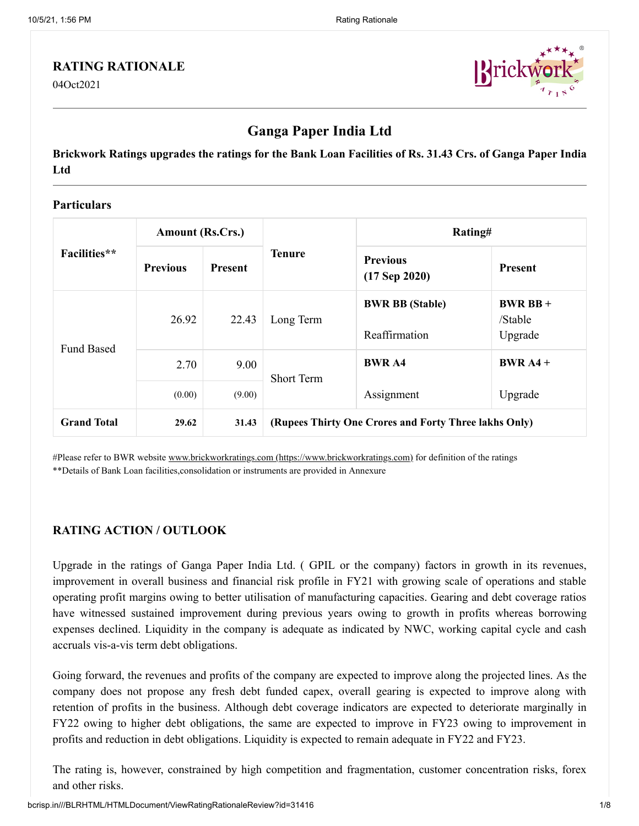#### **RATING RATIONALE**

04Oct2021



# **Ganga Paper India Ltd**

**Brickwork Ratings upgrades the ratings for the Bank Loan Facilities of Rs. 31.43 Crs. of Ganga Paper India Ltd**

#### **Particulars**

|                    | <b>Amount (Rs.Crs.)</b> |                |                                                       | Rating#                                 |                                |  |
|--------------------|-------------------------|----------------|-------------------------------------------------------|-----------------------------------------|--------------------------------|--|
| Facilities**       | <b>Previous</b>         | <b>Present</b> | <b>Tenure</b>                                         | <b>Previous</b><br>$(17$ Sep 2020)      | <b>Present</b>                 |  |
| <b>Fund Based</b>  | 26.92                   | 22.43          | Long Term                                             | <b>BWR BB</b> (Stable)<br>Reaffirmation | $BWRBB+$<br>/Stable<br>Upgrade |  |
|                    | 2.70                    | 9.00           | <b>Short Term</b>                                     | <b>BWR A4</b>                           | $BWR A4 +$                     |  |
|                    | (0.00)                  | (9.00)         |                                                       | Assignment                              | Upgrade                        |  |
| <b>Grand Total</b> | 29.62                   | 31.43          | (Rupees Thirty One Crores and Forty Three lakhs Only) |                                         |                                |  |

#Please refer to BWR website [www.brickworkratings.com \(https://www.brickworkratings.com\)](https://www.brickworkratings.com/) for definition of the ratings \*\*Details of Bank Loan facilities,consolidation or instruments are provided in Annexure

## **RATING ACTION / OUTLOOK**

Upgrade in the ratings of Ganga Paper India Ltd. ( GPIL or the company) factors in growth in its revenues, improvement in overall business and financial risk profile in FY21 with growing scale of operations and stable operating profit margins owing to better utilisation of manufacturing capacities. Gearing and debt coverage ratios have witnessed sustained improvement during previous years owing to growth in profits whereas borrowing expenses declined. Liquidity in the company is adequate as indicated by NWC, working capital cycle and cash accruals vis-a-vis term debt obligations.

Going forward, the revenues and profits of the company are expected to improve along the projected lines. As the company does not propose any fresh debt funded capex, overall gearing is expected to improve along with retention of profits in the business. Although debt coverage indicators are expected to deteriorate marginally in FY22 owing to higher debt obligations, the same are expected to improve in FY23 owing to improvement in profits and reduction in debt obligations. Liquidity is expected to remain adequate in FY22 and FY23.

The rating is, however, constrained by high competition and fragmentation, customer concentration risks, forex and other risks.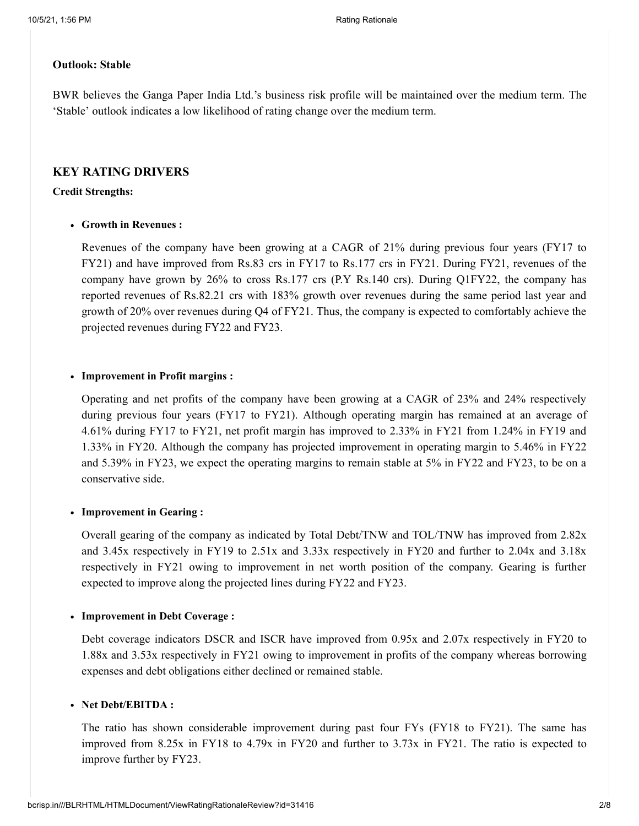#### **Outlook: Stable**

BWR believes the Ganga Paper India Ltd.'s business risk profile will be maintained over the medium term. The 'Stable' outlook indicates a low likelihood of rating change over the medium term.

#### **KEY RATING DRIVERS**

#### **Credit Strengths:**

#### **Growth in Revenues :**

Revenues of the company have been growing at a CAGR of 21% during previous four years (FY17 to FY21) and have improved from Rs.83 crs in FY17 to Rs.177 crs in FY21. During FY21, revenues of the company have grown by 26% to cross Rs.177 crs (P.Y Rs.140 crs). During Q1FY22, the company has reported revenues of Rs.82.21 crs with 183% growth over revenues during the same period last year and growth of 20% over revenues during Q4 of FY21. Thus, the company is expected to comfortably achieve the projected revenues during FY22 and FY23.

#### **Improvement in Profit margins :**

Operating and net profits of the company have been growing at a CAGR of 23% and 24% respectively during previous four years (FY17 to FY21). Although operating margin has remained at an average of 4.61% during FY17 to FY21, net profit margin has improved to 2.33% in FY21 from 1.24% in FY19 and 1.33% in FY20. Although the company has projected improvement in operating margin to 5.46% in FY22 and 5.39% in FY23, we expect the operating margins to remain stable at 5% in FY22 and FY23, to be on a conservative side.

#### **Improvement in Gearing :**

Overall gearing of the company as indicated by Total Debt/TNW and TOL/TNW has improved from 2.82x and 3.45x respectively in FY19 to 2.51x and 3.33x respectively in FY20 and further to 2.04x and 3.18x respectively in FY21 owing to improvement in net worth position of the company. Gearing is further expected to improve along the projected lines during FY22 and FY23.

#### **Improvement in Debt Coverage :**

Debt coverage indicators DSCR and ISCR have improved from 0.95x and 2.07x respectively in FY20 to 1.88x and 3.53x respectively in FY21 owing to improvement in profits of the company whereas borrowing expenses and debt obligations either declined or remained stable.

#### **Net Debt/EBITDA :**

The ratio has shown considerable improvement during past four FYs (FY18 to FY21). The same has improved from 8.25x in FY18 to 4.79x in FY20 and further to 3.73x in FY21. The ratio is expected to improve further by FY23.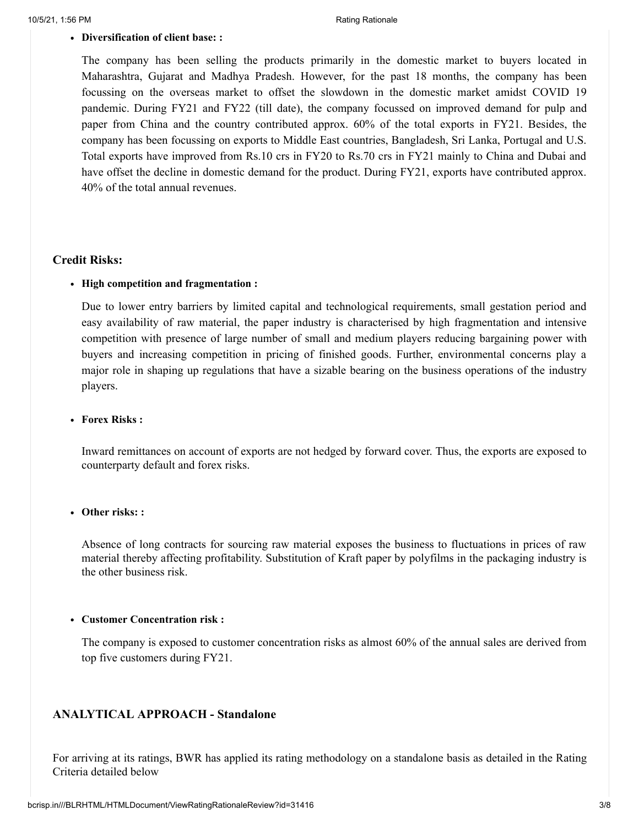#### **Diversification of client base: :**

The company has been selling the products primarily in the domestic market to buyers located in Maharashtra, Gujarat and Madhya Pradesh. However, for the past 18 months, the company has been focussing on the overseas market to offset the slowdown in the domestic market amidst COVID 19 pandemic. During FY21 and FY22 (till date), the company focussed on improved demand for pulp and paper from China and the country contributed approx. 60% of the total exports in FY21. Besides, the company has been focussing on exports to Middle East countries, Bangladesh, Sri Lanka, Portugal and U.S. Total exports have improved from Rs.10 crs in FY20 to Rs.70 crs in FY21 mainly to China and Dubai and have offset the decline in domestic demand for the product. During FY21, exports have contributed approx. 40% of the total annual revenues.

#### **Credit Risks:**

#### **High competition and fragmentation :**

Due to lower entry barriers by limited capital and technological requirements, small gestation period and easy availability of raw material, the paper industry is characterised by high fragmentation and intensive competition with presence of large number of small and medium players reducing bargaining power with buyers and increasing competition in pricing of finished goods. Further, environmental concerns play a major role in shaping up regulations that have a sizable bearing on the business operations of the industry players.

#### **Forex Risks :**

Inward remittances on account of exports are not hedged by forward cover. Thus, the exports are exposed to counterparty default and forex risks.

#### **Other risks: :**

Absence of long contracts for sourcing raw material exposes the business to fluctuations in prices of raw material thereby affecting profitability. Substitution of Kraft paper by polyfilms in the packaging industry is the other business risk.

#### **Customer Concentration risk :**

The company is exposed to customer concentration risks as almost 60% of the annual sales are derived from top five customers during FY21.

#### **ANALYTICAL APPROACH - Standalone**

For arriving at its ratings, BWR has applied its rating methodology on a standalone basis as detailed in the Rating Criteria detailed below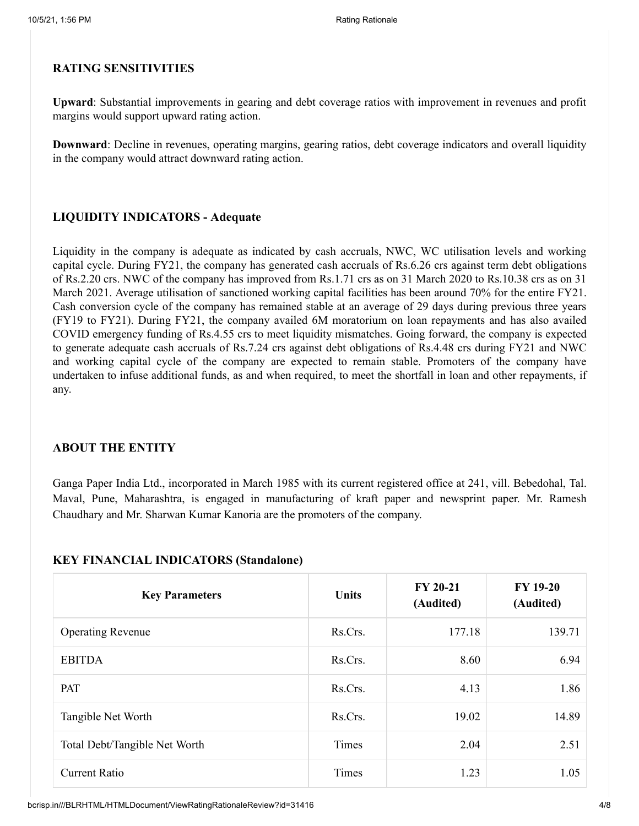#### **RATING SENSITIVITIES**

**Upward**: Substantial improvements in gearing and debt coverage ratios with improvement in revenues and profit margins would support upward rating action.

**Downward**: Decline in revenues, operating margins, gearing ratios, debt coverage indicators and overall liquidity in the company would attract downward rating action.

### **LIQUIDITY INDICATORS - Adequate**

Liquidity in the company is adequate as indicated by cash accruals, NWC, WC utilisation levels and working capital cycle. During FY21, the company has generated cash accruals of Rs.6.26 crs against term debt obligations of Rs.2.20 crs. NWC of the company has improved from Rs.1.71 crs as on 31 March 2020 to Rs.10.38 crs as on 31 March 2021. Average utilisation of sanctioned working capital facilities has been around 70% for the entire FY21. Cash conversion cycle of the company has remained stable at an average of 29 days during previous three years (FY19 to FY21). During FY21, the company availed 6M moratorium on loan repayments and has also availed COVID emergency funding of Rs.4.55 crs to meet liquidity mismatches. Going forward, the company is expected to generate adequate cash accruals of Rs.7.24 crs against debt obligations of Rs.4.48 crs during FY21 and NWC and working capital cycle of the company are expected to remain stable. Promoters of the company have undertaken to infuse additional funds, as and when required, to meet the shortfall in loan and other repayments, if any.

#### **ABOUT THE ENTITY**

Ganga Paper India Ltd., incorporated in March 1985 with its current registered office at 241, vill. Bebedohal, Tal. Maval, Pune, Maharashtra, is engaged in manufacturing of kraft paper and newsprint paper. Mr. Ramesh Chaudhary and Mr. Sharwan Kumar Kanoria are the promoters of the company.

#### **KEY FINANCIAL INDICATORS (Standalone)**

| <b>Key Parameters</b>         | Units        | FY 20-21<br>(Audited) | <b>FY 19-20</b><br>(Audited) |
|-------------------------------|--------------|-----------------------|------------------------------|
| <b>Operating Revenue</b>      | Rs.Crs.      | 177.18                | 139.71                       |
| <b>EBITDA</b>                 | Rs.Crs.      | 8.60                  | 6.94                         |
| PAT                           | Rs.Crs.      | 4.13                  | 1.86                         |
| Tangible Net Worth            | Rs.Crs.      | 19.02                 | 14.89                        |
| Total Debt/Tangible Net Worth | <b>Times</b> | 2.04                  | 2.51                         |
| <b>Current Ratio</b>          | Times        | 1.23                  | 1.05                         |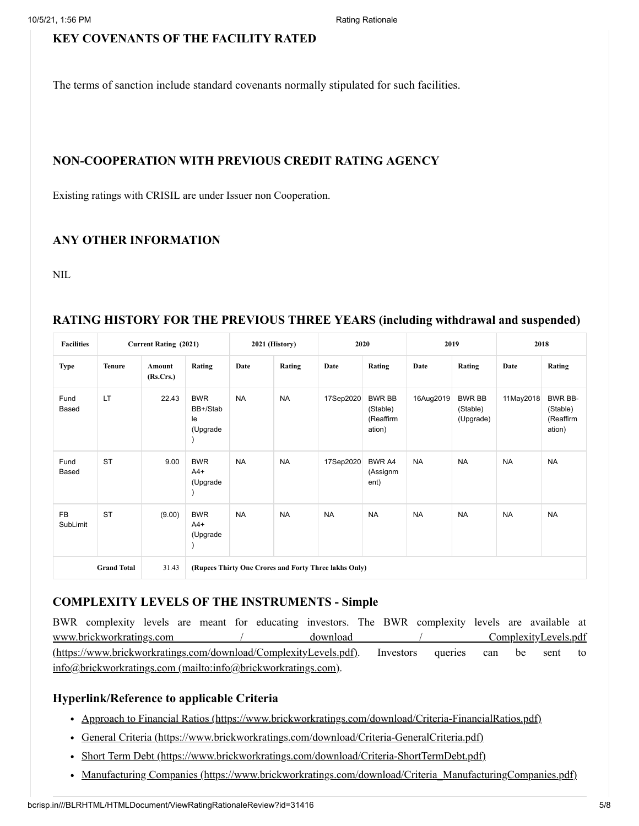#### **KEY COVENANTS OF THE FACILITY RATED**

The terms of sanction include standard covenants normally stipulated for such facilities.

#### **NON-COOPERATION WITH PREVIOUS CREDIT RATING AGENCY**

Existing ratings with CRISIL are under Issuer non Cooperation.

### **ANY OTHER INFORMATION**

NIL

#### **Facilities Current Rating (2021) 2021 (History) 2020 2019 2018 Type Tenure Amount (Rs.Crs.) Rating Date Rating Date Rating Date Rating Date Rating** Fund Based LT 22.43 BWR BB+/Stab le (Upgrade ) NA NA 17Sep2020 BWR BB (Stable) (Reaffirm ation) 16Aug2019 BWR BB (Stable) (Upgrade) 11May2018 BWR BB-(Stable) (Reaffirm ation) Fund Based ST 9.00 BWR  $A4+$ (Upgrade ) NA | 17Sep2020 BWR A4 (Assignm ent) NA NA NA NA FB SubLimit ST (9.00) BWR  $A4+$ (Upgrade ) NA NA NA NA NA NA NA NA **Grand Total** 31.43 **(Rupees Thirty One Crores and Forty Three lakhs Only)**

### **RATING HISTORY FOR THE PREVIOUS THREE YEARS (including withdrawal and suspended)**

# **COMPLEXITY LEVELS OF THE INSTRUMENTS - Simple**

BWR complexity levels are meant for educating investors. The BWR complexity levels are available at [www.brickworkratings.com / download / ComplexityLevels.pdf](https://www.brickworkratings.com/download/ComplexityLevels.pdf) (https://www.brickworkratings.com/download/ComplexityLevels.pdf). Investors queries can be sent to [info@brickworkratings.com \(mailto:info@brickworkratings.com\)](mailto:info@brickworkratings.com).

# **Hyperlink/Reference to applicable Criteria**

- [Approach to Financial Ratios \(https://www.brickworkratings.com/download/Criteria-FinancialRatios.pdf\)](https://www.brickworkratings.com/download/Criteria-FinancialRatios.pdf)
- [General Criteria \(https://www.brickworkratings.com/download/Criteria-GeneralCriteria.pdf\)](https://www.brickworkratings.com/download/Criteria-GeneralCriteria.pdf)
- [Short Term Debt \(https://www.brickworkratings.com/download/Criteria-ShortTermDebt.pdf\)](https://www.brickworkratings.com/download/Criteria-ShortTermDebt.pdf)
- Manufacturing Companies (https://www.brickworkratings.com/download/Criteria ManufacturingCompanies.pdf)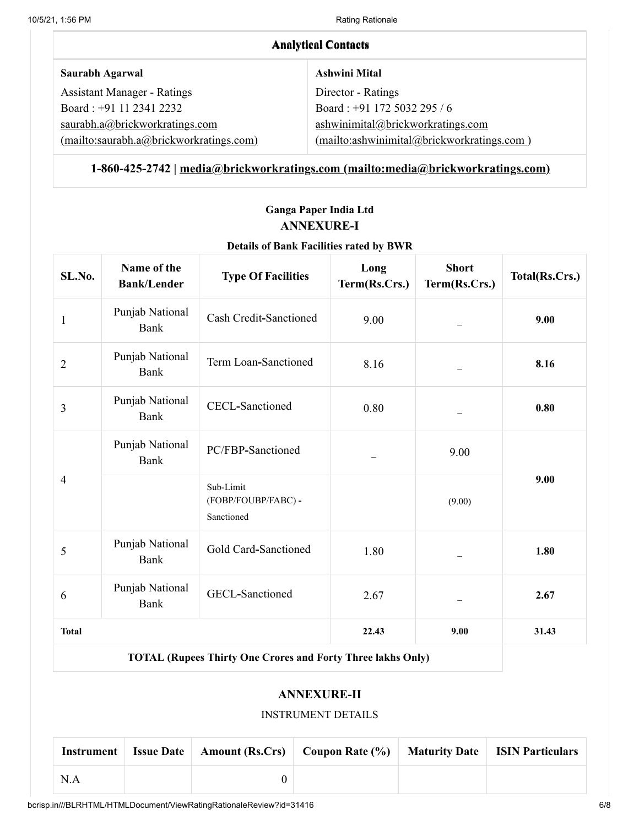| <b>Analytical Contacts</b>              |                                            |  |  |  |
|-----------------------------------------|--------------------------------------------|--|--|--|
| Saurabh Agarwal                         | <b>Ashwini Mital</b>                       |  |  |  |
| <b>Assistant Manager - Ratings</b>      | Director - Ratings                         |  |  |  |
| Board: +91 11 2341 2232                 | Board: +91 172 5032 295 / 6                |  |  |  |
| saurabh.a@brickworkratings.com          | ashwinimital@brickworkratings.com          |  |  |  |
| (mailto:saurabh.a@brickworkratings.com) | (mailto:ashwinimital@brickworkratings.com) |  |  |  |

# **1-860-425-2742 | [media@brickworkratings.com \(mailto:media@brickworkratings.com\)](mailto:media@brickworkratings.com)**

# **Ganga Paper India Ltd ANNEXURE-I**

# **Details of Bank Facilities rated by BWR**

| SL.No.         | Name of the<br><b>Bank/Lender</b> | <b>Type Of Facilities</b>                                          | Long<br>Term(Rs.Crs.) | <b>Short</b><br>Term(Rs.Crs.) | Total(Rs.Crs.) |
|----------------|-----------------------------------|--------------------------------------------------------------------|-----------------------|-------------------------------|----------------|
| $\mathbf{1}$   | Punjab National<br>Bank           | Cash Credit-Sanctioned                                             | 9.00                  |                               | 9.00           |
| $\overline{2}$ | Punjab National<br>Bank           | Term Loan-Sanctioned                                               | 8.16                  |                               | 8.16           |
| 3              | Punjab National<br>Bank           | <b>CECL-Sanctioned</b>                                             | 0.80                  |                               | 0.80           |
| 4              | Punjab National<br>Bank           | PC/FBP-Sanctioned                                                  |                       | 9.00                          |                |
|                |                                   | Sub-Limit<br>(FOBP/FOUBP/FABC) -<br>Sanctioned                     |                       | (9.00)                        | 9.00           |
| 5              | Punjab National<br>Bank           | Gold Card-Sanctioned                                               | 1.80                  |                               | 1.80           |
| 6              | Punjab National<br><b>Bank</b>    | <b>GECL-Sanctioned</b>                                             | 2.67                  |                               | 2.67           |
| <b>Total</b>   |                                   |                                                                    | 22.43                 | 9.00                          | 31.43          |
|                |                                   | <b>TOTAL (Rupees Thirty One Crores and Forty Three lakhs Only)</b> |                       |                               |                |

#### **ANNEXURE-II**

#### INSTRUMENT DETAILS

| Instrument | <b>Issue Date</b> | <b>Amount (Rs.Crs)</b> Coupon Rate (%) Maturity Date ISIN Particulars |  |
|------------|-------------------|-----------------------------------------------------------------------|--|
| N.A        |                   |                                                                       |  |

bcrisp.in///BLRHTML/HTMLDocument/ViewRatingRationaleReview?id=31416 6/8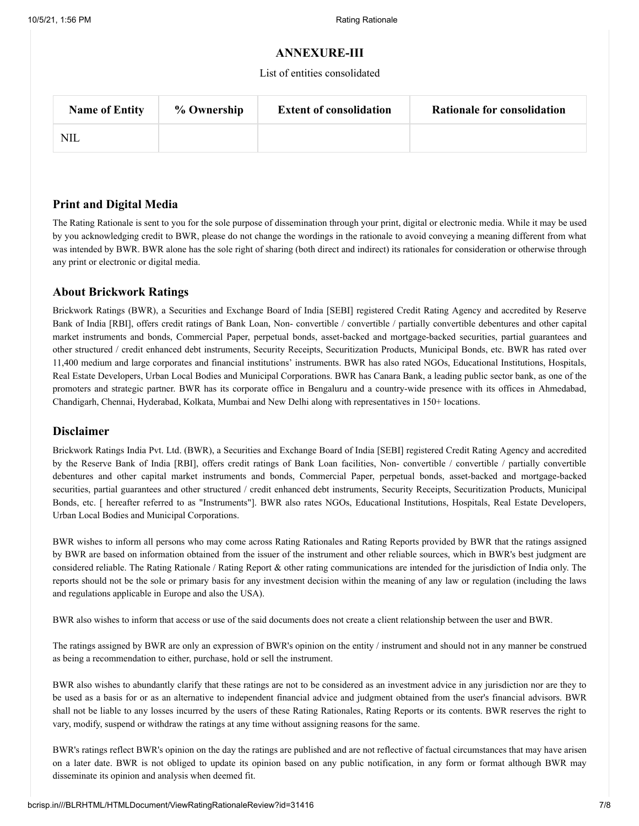#### **ANNEXURE-III**

List of entities consolidated

| <b>Name of Entity</b> | % Ownership | <b>Extent of consolidation</b> | <b>Rationale for consolidation</b> |
|-----------------------|-------------|--------------------------------|------------------------------------|
| NIL                   |             |                                |                                    |

#### **Print and Digital Media**

The Rating Rationale is sent to you for the sole purpose of dissemination through your print, digital or electronic media. While it may be used by you acknowledging credit to BWR, please do not change the wordings in the rationale to avoid conveying a meaning different from what was intended by BWR. BWR alone has the sole right of sharing (both direct and indirect) its rationales for consideration or otherwise through any print or electronic or digital media.

#### **About Brickwork Ratings**

Brickwork Ratings (BWR), a Securities and Exchange Board of India [SEBI] registered Credit Rating Agency and accredited by Reserve Bank of India [RBI], offers credit ratings of Bank Loan, Non- convertible / convertible / partially convertible debentures and other capital market instruments and bonds, Commercial Paper, perpetual bonds, asset-backed and mortgage-backed securities, partial guarantees and other structured / credit enhanced debt instruments, Security Receipts, Securitization Products, Municipal Bonds, etc. BWR has rated over 11,400 medium and large corporates and financial institutions' instruments. BWR has also rated NGOs, Educational Institutions, Hospitals, Real Estate Developers, Urban Local Bodies and Municipal Corporations. BWR has Canara Bank, a leading public sector bank, as one of the promoters and strategic partner. BWR has its corporate office in Bengaluru and a country-wide presence with its offices in Ahmedabad, Chandigarh, Chennai, Hyderabad, Kolkata, Mumbai and New Delhi along with representatives in 150+ locations.

#### **Disclaimer**

Brickwork Ratings India Pvt. Ltd. (BWR), a Securities and Exchange Board of India [SEBI] registered Credit Rating Agency and accredited by the Reserve Bank of India [RBI], offers credit ratings of Bank Loan facilities, Non- convertible / convertible / partially convertible debentures and other capital market instruments and bonds, Commercial Paper, perpetual bonds, asset-backed and mortgage-backed securities, partial guarantees and other structured / credit enhanced debt instruments, Security Receipts, Securitization Products, Municipal Bonds, etc. [ hereafter referred to as "Instruments"]. BWR also rates NGOs, Educational Institutions, Hospitals, Real Estate Developers, Urban Local Bodies and Municipal Corporations.

BWR wishes to inform all persons who may come across Rating Rationales and Rating Reports provided by BWR that the ratings assigned by BWR are based on information obtained from the issuer of the instrument and other reliable sources, which in BWR's best judgment are considered reliable. The Rating Rationale / Rating Report & other rating communications are intended for the jurisdiction of India only. The reports should not be the sole or primary basis for any investment decision within the meaning of any law or regulation (including the laws and regulations applicable in Europe and also the USA).

BWR also wishes to inform that access or use of the said documents does not create a client relationship between the user and BWR.

The ratings assigned by BWR are only an expression of BWR's opinion on the entity / instrument and should not in any manner be construed as being a recommendation to either, purchase, hold or sell the instrument.

BWR also wishes to abundantly clarify that these ratings are not to be considered as an investment advice in any jurisdiction nor are they to be used as a basis for or as an alternative to independent financial advice and judgment obtained from the user's financial advisors. BWR shall not be liable to any losses incurred by the users of these Rating Rationales, Rating Reports or its contents. BWR reserves the right to vary, modify, suspend or withdraw the ratings at any time without assigning reasons for the same.

BWR's ratings reflect BWR's opinion on the day the ratings are published and are not reflective of factual circumstances that may have arisen on a later date. BWR is not obliged to update its opinion based on any public notification, in any form or format although BWR may disseminate its opinion and analysis when deemed fit.